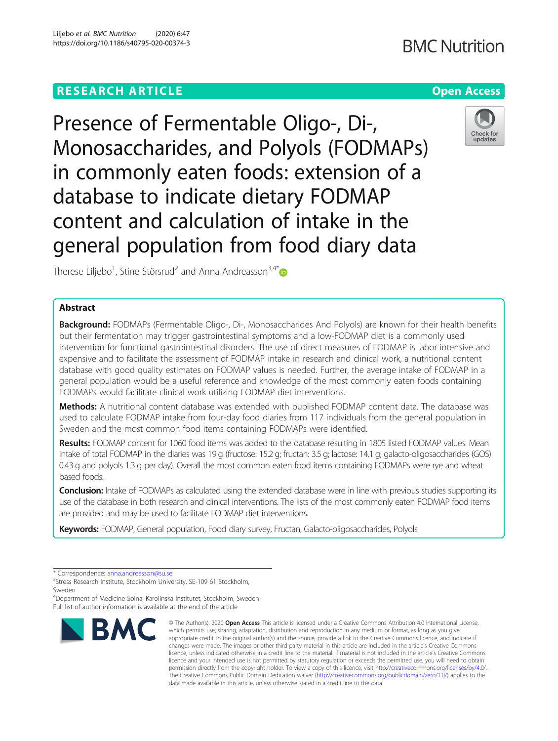# **RESEARCH ARTICLE Example 2014 12:30 The Company Access** (COMPANY) **Open Access**

Presence of Fermentable Oligo-, Di-, Monosaccharides, and Polyols (FODMAPs) in commonly eaten foods: extension of a database to indicate dietary FODMAP content and calculation of intake in the general population from food diary data



Therese Liljebo<sup>1</sup>, Stine Störsrud<sup>2</sup> and Anna Andreasson<sup>3,4\*</sup>

# Abstract

Background: FODMAPs (Fermentable Oligo-, Di-, Monosaccharides And Polyols) are known for their health benefits but their fermentation may trigger gastrointestinal symptoms and a low-FODMAP diet is a commonly used intervention for functional gastrointestinal disorders. The use of direct measures of FODMAP is labor intensive and expensive and to facilitate the assessment of FODMAP intake in research and clinical work, a nutritional content database with good quality estimates on FODMAP values is needed. Further, the average intake of FODMAP in a general population would be a useful reference and knowledge of the most commonly eaten foods containing FODMAPs would facilitate clinical work utilizing FODMAP diet interventions.

Methods: A nutritional content database was extended with published FODMAP content data. The database was used to calculate FODMAP intake from four-day food diaries from 117 individuals from the general population in Sweden and the most common food items containing FODMAPs were identified.

Results: FODMAP content for 1060 food items was added to the database resulting in 1805 listed FODMAP values. Mean intake of total FODMAP in the diaries was 19 g (fructose: 15.2 g; fructan: 3.5 g; lactose: 14.1 g; galacto-oligosaccharides (GOS) 0.43 g and polyols 1.3 g per day). Overall the most common eaten food items containing FODMAPs were rye and wheat based foods.

**Conclusion:** Intake of FODMAPs as calculated using the extended database were in line with previous studies supporting its use of the database in both research and clinical interventions. The lists of the most commonly eaten FODMAP food items are provided and may be used to facilitate FODMAP diet interventions.

Keywords: FODMAP, General population, Food diary survey, Fructan, Galacto-oligosaccharides, Polyols

4 Department of Medicine Solna, Karolinska Institutet, Stockholm, Sweden Full list of author information is available at the end of the article



<sup>©</sup> The Author(s), 2020 **Open Access** This article is licensed under a Creative Commons Attribution 4.0 International License, which permits use, sharing, adaptation, distribution and reproduction in any medium or format, as long as you give appropriate credit to the original author(s) and the source, provide a link to the Creative Commons licence, and indicate if changes were made. The images or other third party material in this article are included in the article's Creative Commons licence, unless indicated otherwise in a credit line to the material. If material is not included in the article's Creative Commons licence and your intended use is not permitted by statutory regulation or exceeds the permitted use, you will need to obtain permission directly from the copyright holder. To view a copy of this licence, visit [http://creativecommons.org/licenses/by/4.0/.](http://creativecommons.org/licenses/by/4.0/) The Creative Commons Public Domain Dedication waiver [\(http://creativecommons.org/publicdomain/zero/1.0/](http://creativecommons.org/publicdomain/zero/1.0/)) applies to the data made available in this article, unless otherwise stated in a credit line to the data.

<sup>\*</sup> Correspondence: [anna.andreasson@su.se](mailto:anna.andreasson@su.se)<br><sup>3</sup>Stress Research Institute, Stockholm University, SE-109 61 Stockholm, Sweden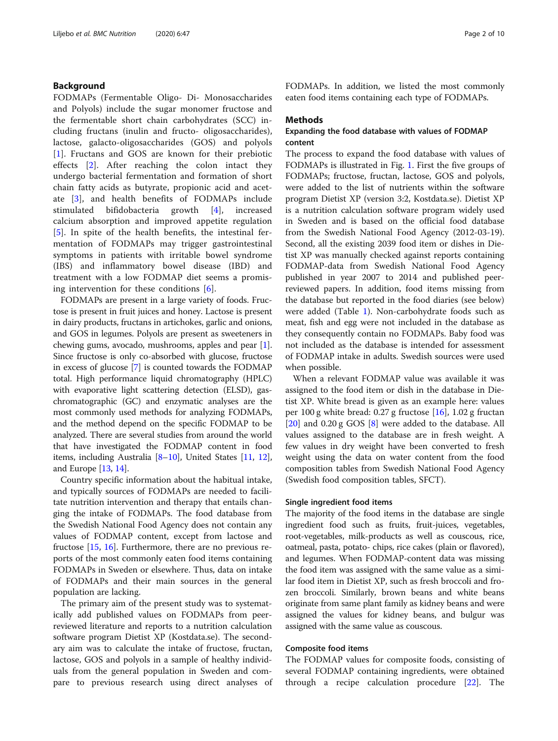# Background

FODMAPs (Fermentable Oligo- Di- Monosaccharides and Polyols) include the sugar monomer fructose and the fermentable short chain carbohydrates (SCC) including fructans (inulin and fructo- oligosaccharides), lactose, galacto-oligosaccharides (GOS) and polyols [[1\]](#page-8-0). Fructans and GOS are known for their prebiotic effects [[2\]](#page-8-0). After reaching the colon intact they undergo bacterial fermentation and formation of short chain fatty acids as butyrate, propionic acid and acetate [\[3](#page-8-0)], and health benefits of FODMAPs include stimulated bifidobacteria growth [\[4](#page-8-0)], increased calcium absorption and improved appetite regulation [[5\]](#page-8-0). In spite of the health benefits, the intestinal fermentation of FODMAPs may trigger gastrointestinal symptoms in patients with irritable bowel syndrome (IBS) and inflammatory bowel disease (IBD) and treatment with a low FODMAP diet seems a promising intervention for these conditions [\[6](#page-8-0)].

FODMAPs are present in a large variety of foods. Fructose is present in fruit juices and honey. Lactose is present in dairy products, fructans in artichokes, garlic and onions, and GOS in legumes. Polyols are present as sweeteners in chewing gums, avocado, mushrooms, apples and pear [[1](#page-8-0)]. Since fructose is only co-absorbed with glucose, fructose in excess of glucose [[7\]](#page-8-0) is counted towards the FODMAP total. High performance liquid chromatography (HPLC) with evaporative light scattering detection (ELSD), gaschromatographic (GC) and enzymatic analyses are the most commonly used methods for analyzing FODMAPs, and the method depend on the specific FODMAP to be analyzed. There are several studies from around the world that have investigated the FODMAP content in food items, including Australia [[8](#page-8-0)–[10](#page-8-0)], United States [\[11,](#page-8-0) [12](#page-8-0)], and Europe [[13](#page-8-0), [14](#page-9-0)].

Country specific information about the habitual intake, and typically sources of FODMAPs are needed to facilitate nutrition intervention and therapy that entails changing the intake of FODMAPs. The food database from the Swedish National Food Agency does not contain any values of FODMAP content, except from lactose and fructose [[15,](#page-9-0) [16\]](#page-9-0). Furthermore, there are no previous reports of the most commonly eaten food items containing FODMAPs in Sweden or elsewhere. Thus, data on intake of FODMAPs and their main sources in the general population are lacking.

The primary aim of the present study was to systematically add published values on FODMAPs from peerreviewed literature and reports to a nutrition calculation software program Dietist XP (Kostdata.se). The secondary aim was to calculate the intake of fructose, fructan, lactose, GOS and polyols in a sample of healthy individuals from the general population in Sweden and compare to previous research using direct analyses of FODMAPs. In addition, we listed the most commonly eaten food items containing each type of FODMAPs.

#### Methods

# Expanding the food database with values of FODMAP content

The process to expand the food database with values of FODMAPs is illustrated in Fig. [1.](#page-2-0) First the five groups of FODMAPs; fructose, fructan, lactose, GOS and polyols, were added to the list of nutrients within the software program Dietist XP (version 3:2, Kostdata.se). Dietist XP is a nutrition calculation software program widely used in Sweden and is based on the official food database from the Swedish National Food Agency (2012-03-19). Second, all the existing 2039 food item or dishes in Dietist XP was manually checked against reports containing FODMAP-data from Swedish National Food Agency published in year 2007 to 2014 and published peerreviewed papers. In addition, food items missing from the database but reported in the food diaries (see below) were added (Table [1](#page-3-0)). Non-carbohydrate foods such as meat, fish and egg were not included in the database as they consequently contain no FODMAPs. Baby food was not included as the database is intended for assessment of FODMAP intake in adults. Swedish sources were used when possible.

When a relevant FODMAP value was available it was assigned to the food item or dish in the database in Dietist XP. White bread is given as an example here: values per 100 g white bread:  $0.27$  g fructose  $[16]$  $[16]$  $[16]$ ,  $1.02$  g fructan [[20\]](#page-9-0) and 0.20 g GOS [\[8](#page-8-0)] were added to the database. All values assigned to the database are in fresh weight. A few values in dry weight have been converted to fresh weight using the data on water content from the food composition tables from Swedish National Food Agency (Swedish food composition tables, SFCT).

#### Single ingredient food items

The majority of the food items in the database are single ingredient food such as fruits, fruit-juices, vegetables, root-vegetables, milk-products as well as couscous, rice, oatmeal, pasta, potato- chips, rice cakes (plain or flavored), and legumes. When FODMAP-content data was missing the food item was assigned with the same value as a similar food item in Dietist XP, such as fresh broccoli and frozen broccoli. Similarly, brown beans and white beans originate from same plant family as kidney beans and were assigned the values for kidney beans, and bulgur was assigned with the same value as couscous.

### Composite food items

The FODMAP values for composite foods, consisting of several FODMAP containing ingredients, were obtained through a recipe calculation procedure [[22](#page-9-0)]. The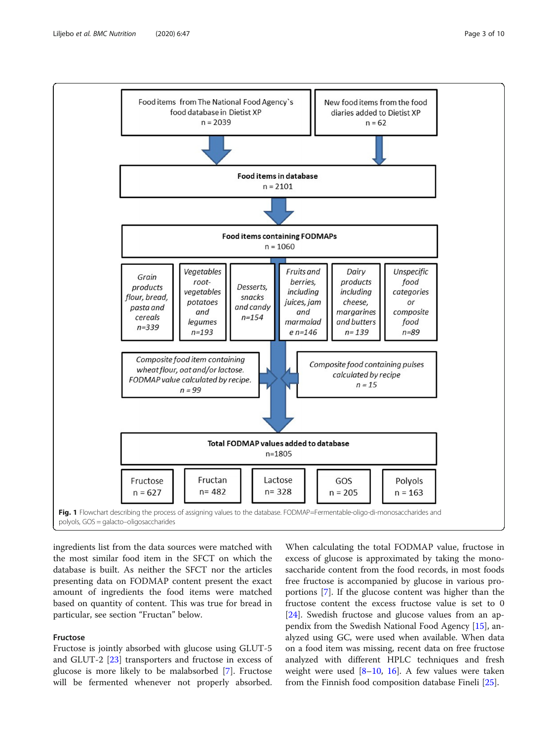<span id="page-2-0"></span>

ingredients list from the data sources were matched with the most similar food item in the SFCT on which the database is built. As neither the SFCT nor the articles presenting data on FODMAP content present the exact amount of ingredients the food items were matched based on quantity of content. This was true for bread in particular, see section "Fructan" below.

# Fructose

Fructose is jointly absorbed with glucose using GLUT-5 and GLUT-2 [\[23\]](#page-9-0) transporters and fructose in excess of glucose is more likely to be malabsorbed [[7\]](#page-8-0). Fructose will be fermented whenever not properly absorbed.

When calculating the total FODMAP value, fructose in excess of glucose is approximated by taking the monosaccharide content from the food records, in most foods free fructose is accompanied by glucose in various proportions [[7\]](#page-8-0). If the glucose content was higher than the fructose content the excess fructose value is set to 0 [[24\]](#page-9-0). Swedish fructose and glucose values from an appendix from the Swedish National Food Agency [\[15](#page-9-0)], analyzed using GC, were used when available. When data on a food item was missing, recent data on free fructose analyzed with different HPLC techniques and fresh weight were used  $[8-10, 16]$  $[8-10, 16]$  $[8-10, 16]$  $[8-10, 16]$  $[8-10, 16]$  $[8-10, 16]$ . A few values were taken from the Finnish food composition database Fineli [[25\]](#page-9-0).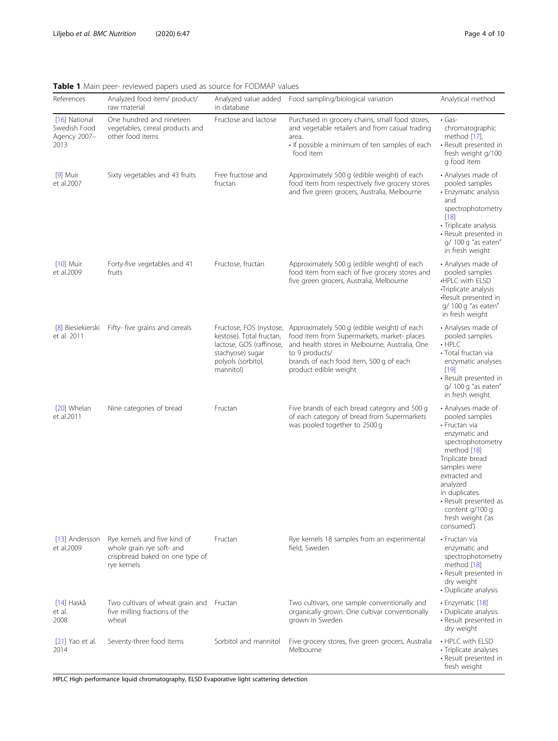|                                                       | <b>TWAIS I</b> many peer reviewed papers ased as source for rigidity.                                       |                                                                                                             |                                                                                                                                                                                                                                                           |                                                                                                                                                                                                                                                                              |
|-------------------------------------------------------|-------------------------------------------------------------------------------------------------------------|-------------------------------------------------------------------------------------------------------------|-----------------------------------------------------------------------------------------------------------------------------------------------------------------------------------------------------------------------------------------------------------|------------------------------------------------------------------------------------------------------------------------------------------------------------------------------------------------------------------------------------------------------------------------------|
| References                                            | Analyzed food item/ product/<br>raw material                                                                | in database                                                                                                 | Analyzed value added  Food sampling/biological variation                                                                                                                                                                                                  | Analytical method                                                                                                                                                                                                                                                            |
| [16] National<br>Swedish Food<br>Agency 2007-<br>2013 | One hundred and nineteen<br>vegetables, cereal products and<br>other food items                             | Fructose and lactose                                                                                        | Purchased in grocery chains, small food stores,<br>and vegetable retailers and from casual trading<br>area.<br>• If possible a minimum of ten samples of each<br>food item                                                                                | $\cdot$ Gas-<br>chromatographic<br>method [17].<br>• Result presented in<br>fresh weight g/100<br>g food item                                                                                                                                                                |
| $[9]$ Muir<br>et al.2007                              | Sixty vegetables and 43 fruits                                                                              | Free fructose and<br>fructan                                                                                | Approximately 500 g (edible weight) of each<br>food item from respectively five grocery stores<br>and five green grocers, Australia, Melbourne                                                                                                            | • Analyses made of<br>pooled samples<br>• Enzymatic analysis<br>and<br>spectrophotometry<br>[18]<br>• Triplicate analysis<br>· Result presented in<br>g/ 100 g "as eaten"<br>in fresh weight                                                                                 |
| $[10]$ Muir<br>et al.2009                             | Forty-five vegetables and 41<br>fruits                                                                      | Fructose, fructan                                                                                           | Approximately 500 g (edible weight) of each<br>food item from each of five grocery stores and<br>five green grocers, Australia, Melbourne                                                                                                                 | • Analyses made of<br>pooled samples<br><b>∙HPLC</b> with ELSD<br>•Triplicate analysis<br>Result presented in<br>g/ 100 g "as eaten"<br>in fresh weight                                                                                                                      |
| [8] Biesiekierski<br>et al. 2011                      | Fifty- five grains and cereals                                                                              | kestose). Total fructan,<br>lactose, GOS (raffinose,<br>stachyose) sugar<br>polyols (sorbitol,<br>mannitol) | Fructose, FOS (nystose, Approximately 500 g (edible weight) of each<br>food item from Supermarkets, market-places<br>and health stores in Melbourne, Australia, One<br>to 9 products/<br>brands of each food item, 500 g of each<br>product edible weight | • Analyses made of<br>pooled samples<br>$\cdot$ HPLC<br>· Total fructan via<br>enzymatic analyses<br>$[19]$<br>• Result presented in<br>g/ 100 g "as eaten"<br>in fresh weight.                                                                                              |
| [20] Whelan<br>et al.2011                             | Nine categories of bread                                                                                    | Fructan                                                                                                     | Five brands of each bread category and 500 g<br>of each category of bread from Supermarkets<br>was pooled together to 2500 g                                                                                                                              | • Analyses made of<br>pooled samples<br>• Fructan via<br>enzymatic and<br>spectrophotometry<br>method [18]<br>Triplicate bread<br>samples were<br>extracted and<br>analyzed<br>in duplicates.<br>• Result presented as<br>content g/100 g<br>fresh weight ('as<br>consumed') |
| [13] Andersson<br>et al.2009                          | Rye kernels and five kind of<br>whole grain rye soft- and<br>crispbread baked on one type of<br>rye kernels | Fructan                                                                                                     | Rye kernels 18 samples from an experimental<br>field, Sweden                                                                                                                                                                                              | • Fructan via<br>enzymatic and<br>spectrophotometry<br>method [18]<br>• Result presented in<br>dry weight<br>• Duplicate analysis                                                                                                                                            |
| $[14]$ Haskå<br>et al.<br>2008                        | Two cultivars of wheat grain and Fructan<br>five milling fractions of the<br>wheat                          |                                                                                                             | Two cultivars, one sample conventionally and<br>organically grown. One cultivar conventionally<br>grown in Sweden                                                                                                                                         | · Enzymatic [18]<br>• Duplicate analysis<br>• Result presented in<br>dry weight                                                                                                                                                                                              |
| $[21]$ Yao et al.<br>2014                             | Seventy-three food items                                                                                    | Sorbitol and mannitol                                                                                       | Five grocery stores, five green grocers, Australia<br>Melbourne                                                                                                                                                                                           | • HPLC with ELSD<br>• Triplicate analyses<br>• Result presented in<br>fresh weight                                                                                                                                                                                           |

<span id="page-3-0"></span>Table 1 Main peer- reviewed papers used as source for FODMAP values

HPLC High performance liquid chromatography, ELSD Evaporative light scattering detection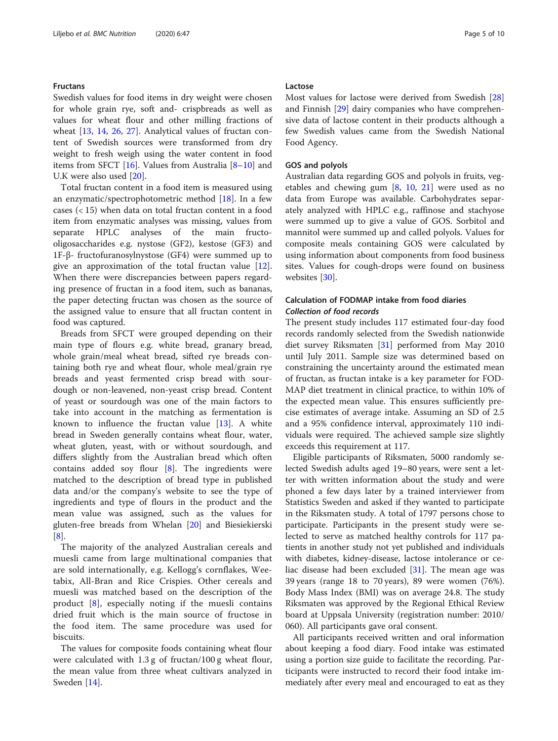#### Fructans

Swedish values for food items in dry weight were chosen for whole grain rye, soft and- crispbreads as well as values for wheat flour and other milling fractions of wheat [[13,](#page-8-0) [14](#page-9-0), [26](#page-9-0), [27\]](#page-9-0). Analytical values of fructan content of Swedish sources were transformed from dry weight to fresh weigh using the water content in food items from SFCT [\[16](#page-9-0)]. Values from Australia [[8](#page-8-0)–[10](#page-8-0)] and U.K were also used [\[20](#page-9-0)].

Total fructan content in a food item is measured using an enzymatic/spectrophotometric method [\[18\]](#page-9-0). In a few cases  $(< 15)$  when data on total fructan content in a food item from enzymatic analyses was missing, values from separate HPLC analyses of the main fructooligosaccharides e.g. nystose (GF2), kestose (GF3) and 1F-β- fructofuranosylnystose (GF4) were summed up to give an approximation of the total fructan value [\[12](#page-8-0)]. When there were discrepancies between papers regarding presence of fructan in a food item, such as bananas, the paper detecting fructan was chosen as the source of the assigned value to ensure that all fructan content in food was captured.

Breads from SFCT were grouped depending on their main type of flours e.g. white bread, granary bread, whole grain/meal wheat bread, sifted rye breads containing both rye and wheat flour, whole meal/grain rye breads and yeast fermented crisp bread with sourdough or non-leavened, non-yeast crisp bread. Content of yeast or sourdough was one of the main factors to take into account in the matching as fermentation is known to influence the fructan value [[13\]](#page-8-0). A white bread in Sweden generally contains wheat flour, water, wheat gluten, yeast, with or without sourdough, and differs slightly from the Australian bread which often contains added soy flour  $[8]$  $[8]$ . The ingredients were matched to the description of bread type in published data and/or the company's website to see the type of ingredients and type of flours in the product and the mean value was assigned, such as the values for gluten-free breads from Whelan [\[20](#page-9-0)] and Biesiekierski [[8\]](#page-8-0).

The majority of the analyzed Australian cereals and muesli came from large multinational companies that are sold internationally, e.g. Kellogg's cornflakes, Weetabix, All-Bran and Rice Crispies. Other cereals and muesli was matched based on the description of the product [\[8](#page-8-0)], especially noting if the muesli contains dried fruit which is the main source of fructose in the food item. The same procedure was used for biscuits.

The values for composite foods containing wheat flour were calculated with 1.3 g of fructan/100 g wheat flour, the mean value from three wheat cultivars analyzed in Sweden [\[14\]](#page-9-0).

# Lactose

Most values for lactose were derived from Swedish [[28](#page-9-0)] and Finnish [[29\]](#page-9-0) dairy companies who have comprehensive data of lactose content in their products although a few Swedish values came from the Swedish National Food Agency.

# GOS and polyols

Australian data regarding GOS and polyols in fruits, vegetables and chewing gum [\[8](#page-8-0), [10](#page-8-0), [21\]](#page-9-0) were used as no data from Europe was available. Carbohydrates separately analyzed with HPLC e.g., raffinose and stachyose were summed up to give a value of GOS. Sorbitol and mannitol were summed up and called polyols. Values for composite meals containing GOS were calculated by using information about components from food business sites. Values for cough-drops were found on business websites [[30\]](#page-9-0).

# Calculation of FODMAP intake from food diaries Collection of food records

The present study includes 117 estimated four-day food records randomly selected from the Swedish nationwide diet survey Riksmaten [\[31](#page-9-0)] performed from May 2010 until July 2011. Sample size was determined based on constraining the uncertainty around the estimated mean of fructan, as fructan intake is a key parameter for FOD-MAP diet treatment in clinical practice, to within 10% of the expected mean value. This ensures sufficiently precise estimates of average intake. Assuming an SD of 2.5 and a 95% confidence interval, approximately 110 individuals were required. The achieved sample size slightly exceeds this requirement at 117.

Eligible participants of Riksmaten, 5000 randomly selected Swedish adults aged 19–80 years, were sent a letter with written information about the study and were phoned a few days later by a trained interviewer from Statistics Sweden and asked if they wanted to participate in the Riksmaten study. A total of 1797 persons chose to participate. Participants in the present study were selected to serve as matched healthy controls for 117 patients in another study not yet published and individuals with diabetes, kidney-disease, lactose intolerance or celiac disease had been excluded  $[31]$  $[31]$  $[31]$ . The mean age was 39 years (range 18 to 70 years), 89 were women (76%). Body Mass Index (BMI) was on average 24.8. The study Riksmaten was approved by the Regional Ethical Review board at Uppsala University (registration number: 2010/ 060). All participants gave oral consent.

All participants received written and oral information about keeping a food diary. Food intake was estimated using a portion size guide to facilitate the recording. Participants were instructed to record their food intake immediately after every meal and encouraged to eat as they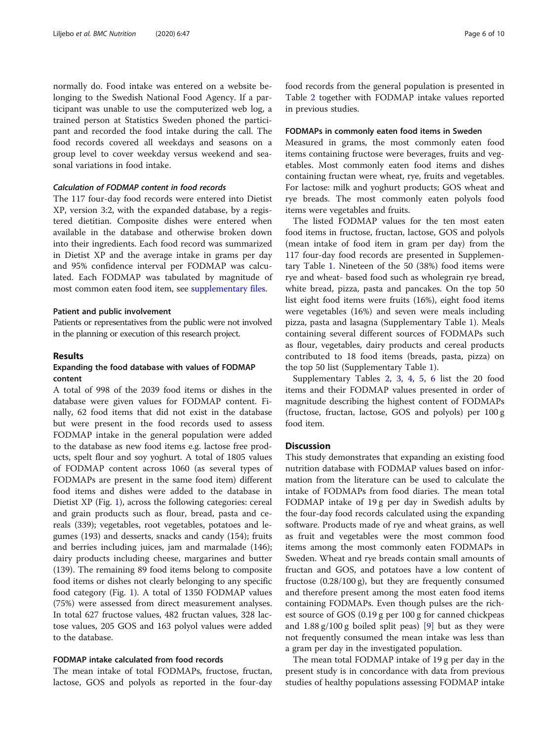normally do. Food intake was entered on a website belonging to the Swedish National Food Agency. If a participant was unable to use the computerized web log, a trained person at Statistics Sweden phoned the participant and recorded the food intake during the call. The food records covered all weekdays and seasons on a group level to cover weekday versus weekend and seasonal variations in food intake.

# Calculation of FODMAP content in food records

The 117 four-day food records were entered into Dietist XP, version 3:2, with the expanded database, by a registered dietitian. Composite dishes were entered when available in the database and otherwise broken down into their ingredients. Each food record was summarized in Dietist XP and the average intake in grams per day and 95% confidence interval per FODMAP was calculated. Each FODMAP was tabulated by magnitude of most common eaten food item, see [supplementary files](#page-8-0).

#### Patient and public involvement

Patients or representatives from the public were not involved in the planning or execution of this research project.

#### Results

# Expanding the food database with values of FODMAP content

A total of 998 of the 2039 food items or dishes in the database were given values for FODMAP content. Finally, 62 food items that did not exist in the database but were present in the food records used to assess FODMAP intake in the general population were added to the database as new food items e.g. lactose free products, spelt flour and soy yoghurt. A total of 1805 values of FODMAP content across 1060 (as several types of FODMAPs are present in the same food item) different food items and dishes were added to the database in Dietist XP (Fig. [1\)](#page-2-0), across the following categories: cereal and grain products such as flour, bread, pasta and cereals (339); vegetables, root vegetables, potatoes and legumes (193) and desserts, snacks and candy (154); fruits and berries including juices, jam and marmalade (146); dairy products including cheese, margarines and butter (139). The remaining 89 food items belong to composite food items or dishes not clearly belonging to any specific food category (Fig. [1](#page-2-0)). A total of 1350 FODMAP values (75%) were assessed from direct measurement analyses. In total 627 fructose values, 482 fructan values, 328 lactose values, 205 GOS and 163 polyol values were added to the database.

# FODMAP intake calculated from food records

The mean intake of total FODMAPs, fructose, fructan, lactose, GOS and polyols as reported in the four-day food records from the general population is presented in Table [2](#page-6-0) together with FODMAP intake values reported in previous studies.

# FODMAPs in commonly eaten food items in Sweden

Measured in grams, the most commonly eaten food items containing fructose were beverages, fruits and vegetables. Most commonly eaten food items and dishes containing fructan were wheat, rye, fruits and vegetables. For lactose: milk and yoghurt products; GOS wheat and rye breads. The most commonly eaten polyols food items were vegetables and fruits.

The listed FODMAP values for the ten most eaten food items in fructose, fructan, lactose, GOS and polyols (mean intake of food item in gram per day) from the 117 four-day food records are presented in Supplementary Table [1.](#page-8-0) Nineteen of the 50 (38%) food items were rye and wheat- based food such as wholegrain rye bread, white bread, pizza, pasta and pancakes. On the top 50 list eight food items were fruits (16%), eight food items were vegetables (16%) and seven were meals including pizza, pasta and lasagna (Supplementary Table [1\)](#page-8-0). Meals containing several different sources of FODMAPs such as flour, vegetables, dairy products and cereal products contributed to 18 food items (breads, pasta, pizza) on the top 50 list (Supplementary Table [1](#page-8-0)).

Supplementary Tables [2](#page-8-0), [3](#page-8-0), [4,](#page-8-0) [5,](#page-8-0) [6](#page-8-0) list the 20 food items and their FODMAP values presented in order of magnitude describing the highest content of FODMAPs (fructose, fructan, lactose, GOS and polyols) per 100 g food item.

# **Discussion**

This study demonstrates that expanding an existing food nutrition database with FODMAP values based on information from the literature can be used to calculate the intake of FODMAPs from food diaries. The mean total FODMAP intake of 19 g per day in Swedish adults by the four-day food records calculated using the expanding software. Products made of rye and wheat grains, as well as fruit and vegetables were the most common food items among the most commonly eaten FODMAPs in Sweden. Wheat and rye breads contain small amounts of fructan and GOS, and potatoes have a low content of fructose (0.28/100 g), but they are frequently consumed and therefore present among the most eaten food items containing FODMAPs. Even though pulses are the richest source of GOS (0.19 g per 100 g for canned chickpeas and  $1.88 \text{ g}/100 \text{ g}$  boiled split peas) [\[9](#page-8-0)] but as they were not frequently consumed the mean intake was less than a gram per day in the investigated population.

The mean total FODMAP intake of 19 g per day in the present study is in concordance with data from previous studies of healthy populations assessing FODMAP intake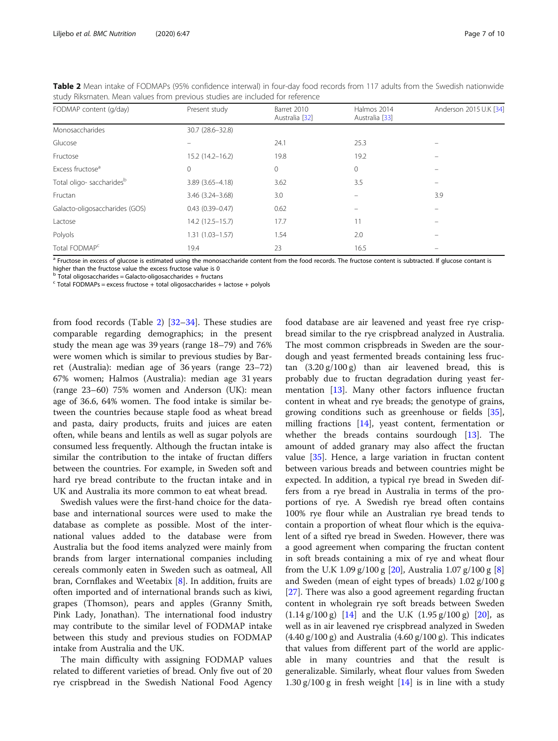| study innsitiatent ividan values from previous studies are included for reference |                        |                               |                               |                        |  |  |  |
|-----------------------------------------------------------------------------------|------------------------|-------------------------------|-------------------------------|------------------------|--|--|--|
| FODMAP content (q/day)                                                            | Present study          | Barret 2010<br>Australia [32] | Halmos 2014<br>Australia [33] | Anderson 2015 U.K [34] |  |  |  |
| Monosaccharides                                                                   | 30.7 (28.6-32.8)       |                               |                               |                        |  |  |  |
| Glucose                                                                           |                        | 24.1                          | 25.3                          |                        |  |  |  |
| Fructose                                                                          | $15.2(14.2 - 16.2)$    | 19.8                          | 19.2                          |                        |  |  |  |
| Excess fructose <sup>a</sup>                                                      | $\mathbf 0$            | 0                             | $\circ$                       |                        |  |  |  |
| Total oligo- saccharides <sup>b</sup>                                             | $3.89(3.65 - 4.18)$    | 3.62                          | 3.5                           |                        |  |  |  |
| Fructan                                                                           | $3.46$ $(3.24 - 3.68)$ | 3.0                           |                               | 3.9                    |  |  |  |
| Galacto-oligosaccharides (GOS)                                                    | $0.43(0.39 - 0.47)$    | 0.62                          | $\equiv$                      |                        |  |  |  |
| Lactose                                                                           | $14.2(12.5 - 15.7)$    | 17.7                          | 11                            |                        |  |  |  |
| Polyols                                                                           | $1.31(1.03 - 1.57)$    | 1.54                          | 2.0                           |                        |  |  |  |
| Total FODMAP <sup>c</sup>                                                         | 19.4                   | 23                            | 16.5                          |                        |  |  |  |
|                                                                                   |                        |                               |                               |                        |  |  |  |

<span id="page-6-0"></span>Table 2 Mean intake of FODMAPs (95% confidence interwal) in four-day food records from 117 adults from the Swedish nationwide study Riksmaten. Mean values from previous studies are included for reference

a Fructose in excess of glucose is estimated using the monosaccharide content from the food records. The fructose content is subtracted. If glucose contant is higher than the fructose value the excess fructose value is 0

Total oligosaccharides = Galacto-oligosaccharides + fructans

 $c$  Total FODMAPs = excess fructose + total oligosaccharides + lactose + polyols

from food records (Table 2) [[32](#page-9-0)–[34](#page-9-0)]. These studies are comparable regarding demographics; in the present study the mean age was 39 years (range 18–79) and 76% were women which is similar to previous studies by Barret (Australia): median age of 36 years (range 23–72) 67% women; Halmos (Australia): median age 31 years (range 23–60) 75% women and Anderson (UK): mean age of 36.6, 64% women. The food intake is similar between the countries because staple food as wheat bread and pasta, dairy products, fruits and juices are eaten often, while beans and lentils as well as sugar polyols are consumed less frequently. Although the fructan intake is similar the contribution to the intake of fructan differs between the countries. For example, in Sweden soft and hard rye bread contribute to the fructan intake and in UK and Australia its more common to eat wheat bread.

Swedish values were the first-hand choice for the database and international sources were used to make the database as complete as possible. Most of the international values added to the database were from Australia but the food items analyzed were mainly from brands from larger international companies including cereals commonly eaten in Sweden such as oatmeal, All bran, Cornflakes and Weetabix [\[8\]](#page-8-0). In addition, fruits are often imported and of international brands such as kiwi, grapes (Thomson), pears and apples (Granny Smith, Pink Lady, Jonathan). The international food industry may contribute to the similar level of FODMAP intake between this study and previous studies on FODMAP intake from Australia and the UK.

The main difficulty with assigning FODMAP values related to different varieties of bread. Only five out of 20 rye crispbread in the Swedish National Food Agency

food database are air leavened and yeast free rye crispbread similar to the rye crispbread analyzed in Australia. The most common crispbreads in Sweden are the sourdough and yeast fermented breads containing less fructan  $(3.20 \text{ g}/100 \text{ g})$  than air leavened bread, this is probably due to fructan degradation during yeast fermentation [[13](#page-8-0)]. Many other factors influence fructan content in wheat and rye breads; the genotype of grains, growing conditions such as greenhouse or fields [\[35](#page-9-0)], milling fractions [\[14\]](#page-9-0), yeast content, fermentation or whether the breads contains sourdough [\[13\]](#page-8-0). The amount of added granary may also affect the fructan value [[35\]](#page-9-0). Hence, a large variation in fructan content between various breads and between countries might be expected. In addition, a typical rye bread in Sweden differs from a rye bread in Australia in terms of the proportions of rye. A Swedish rye bread often contains 100% rye flour while an Australian rye bread tends to contain a proportion of wheat flour which is the equivalent of a sifted rye bread in Sweden. However, there was a good agreement when comparing the fructan content in soft breads containing a mix of rye and wheat flour from the U.K 1.09 g/100 g [\[20](#page-9-0)], Australia 1.07 g/100 g [\[8](#page-8-0)] and Sweden (mean of eight types of breads) 1.02 g/100 g [[27\]](#page-9-0). There was also a good agreement regarding fructan content in wholegrain rye soft breads between Sweden  $(1.14 \text{ g}/100 \text{ g})$  [\[14\]](#page-9-0) and the U.K  $(1.95 \text{ g}/100 \text{ g})$  [[20\]](#page-9-0), as well as in air leavened rye crispbread analyzed in Sweden  $(4.40 \text{ g}/100 \text{ g})$  and Australia  $(4.60 \text{ g}/100 \text{ g})$ . This indicates that values from different part of the world are applicable in many countries and that the result is generalizable. Similarly, wheat flour values from Sweden 1.30 g/100 g in fresh weight  $[14]$  $[14]$  $[14]$  is in line with a study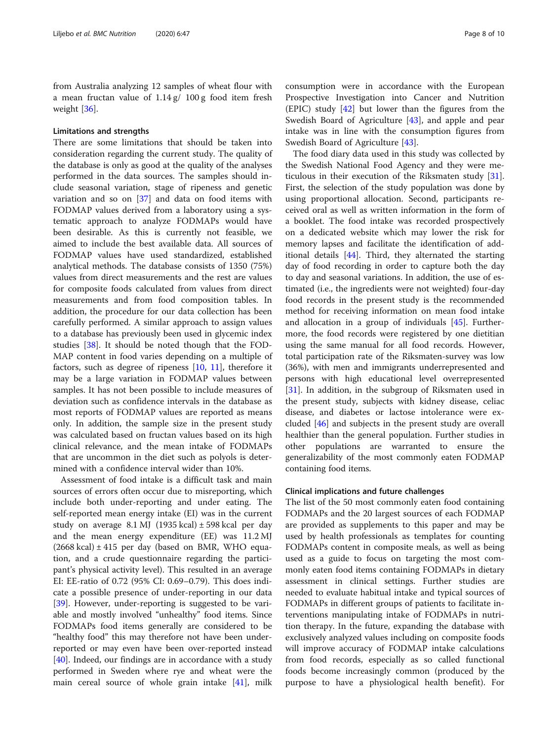from Australia analyzing 12 samples of wheat flour with a mean fructan value of 1.14 g/ 100 g food item fresh weight [[36\]](#page-9-0).

# Limitations and strengths

There are some limitations that should be taken into consideration regarding the current study. The quality of the database is only as good at the quality of the analyses performed in the data sources. The samples should include seasonal variation, stage of ripeness and genetic variation and so on [[37\]](#page-9-0) and data on food items with FODMAP values derived from a laboratory using a systematic approach to analyze FODMAPs would have been desirable. As this is currently not feasible, we aimed to include the best available data. All sources of FODMAP values have used standardized, established analytical methods. The database consists of 1350 (75%) values from direct measurements and the rest are values for composite foods calculated from values from direct measurements and from food composition tables. In addition, the procedure for our data collection has been carefully performed. A similar approach to assign values to a database has previously been used in glycemic index studies [\[38](#page-9-0)]. It should be noted though that the FOD-MAP content in food varies depending on a multiple of factors, such as degree of ripeness [[10](#page-8-0), [11](#page-8-0)], therefore it may be a large variation in FODMAP values between samples. It has not been possible to include measures of deviation such as confidence intervals in the database as most reports of FODMAP values are reported as means only. In addition, the sample size in the present study was calculated based on fructan values based on its high clinical relevance, and the mean intake of FODMAPs that are uncommon in the diet such as polyols is determined with a confidence interval wider than 10%.

Assessment of food intake is a difficult task and main sources of errors often occur due to misreporting, which include both under-reporting and under eating. The self-reported mean energy intake (EI) was in the current study on average  $8.1 \text{ MJ}$  (1935 kcal)  $\pm$  598 kcal per day and the mean energy expenditure (EE) was 11.2 MJ (2668 kcal) ± 415 per day (based on BMR, WHO equation, and a crude questionnaire regarding the participant's physical activity level). This resulted in an average EI: EE-ratio of 0.72 (95% CI: 0.69–0.79). This does indicate a possible presence of under-reporting in our data [[39\]](#page-9-0). However, under-reporting is suggested to be variable and mostly involved "unhealthy" food items. Since FODMAPs food items generally are considered to be "healthy food" this may therefore not have been underreported or may even have been over-reported instead [[40\]](#page-9-0). Indeed, our findings are in accordance with a study performed in Sweden where rye and wheat were the main cereal source of whole grain intake [\[41\]](#page-9-0), milk

consumption were in accordance with the European Prospective Investigation into Cancer and Nutrition  $(EPIC)$  study  $[42]$  $[42]$  but lower than the figures from the Swedish Board of Agriculture [[43\]](#page-9-0), and apple and pear intake was in line with the consumption figures from Swedish Board of Agriculture [[43\]](#page-9-0).

The food diary data used in this study was collected by the Swedish National Food Agency and they were meticulous in their execution of the Riksmaten study [\[31](#page-9-0)]. First, the selection of the study population was done by using proportional allocation. Second, participants received oral as well as written information in the form of a booklet. The food intake was recorded prospectively on a dedicated website which may lower the risk for memory lapses and facilitate the identification of additional details [\[44\]](#page-9-0). Third, they alternated the starting day of food recording in order to capture both the day to day and seasonal variations. In addition, the use of estimated (i.e., the ingredients were not weighted) four-day food records in the present study is the recommended method for receiving information on mean food intake and allocation in a group of individuals [\[45](#page-9-0)]. Furthermore, the food records were registered by one dietitian using the same manual for all food records. However, total participation rate of the Riksmaten-survey was low (36%), with men and immigrants underrepresented and persons with high educational level overrepresented [[31\]](#page-9-0). In addition, in the subgroup of Riksmaten used in the present study, subjects with kidney disease, celiac disease, and diabetes or lactose intolerance were excluded [\[46](#page-9-0)] and subjects in the present study are overall healthier than the general population. Further studies in other populations are warranted to ensure the generalizability of the most commonly eaten FODMAP containing food items.

#### Clinical implications and future challenges

The list of the 50 most commonly eaten food containing FODMAPs and the 20 largest sources of each FODMAP are provided as supplements to this paper and may be used by health professionals as templates for counting FODMAPs content in composite meals, as well as being used as a guide to focus on targeting the most commonly eaten food items containing FODMAPs in dietary assessment in clinical settings. Further studies are needed to evaluate habitual intake and typical sources of FODMAPs in different groups of patients to facilitate interventions manipulating intake of FODMAPs in nutrition therapy. In the future, expanding the database with exclusively analyzed values including on composite foods will improve accuracy of FODMAP intake calculations from food records, especially as so called functional foods become increasingly common (produced by the purpose to have a physiological health benefit). For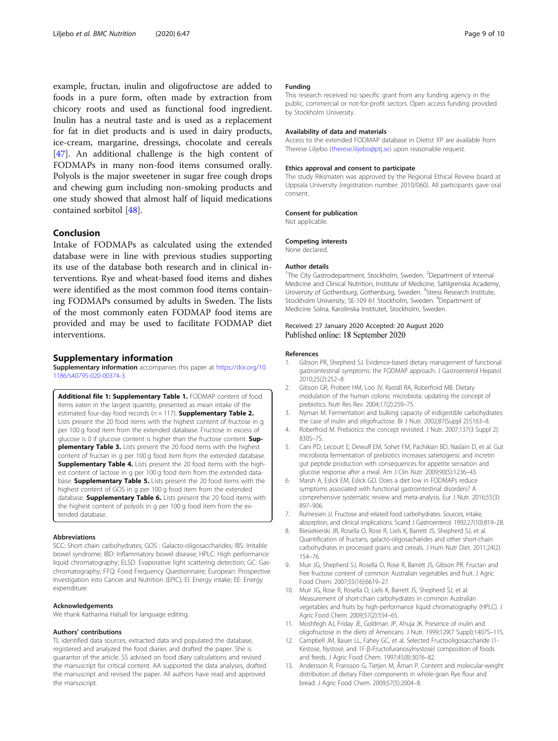<span id="page-8-0"></span>example, fructan, inulin and oligofructose are added to foods in a pure form, often made by extraction from chicory roots and used as functional food ingredient. Inulin has a neutral taste and is used as a replacement for fat in diet products and is used in dairy products, ice-cream, margarine, dressings, chocolate and cereals [[47\]](#page-9-0). An additional challenge is the high content of FODMAPs in many non-food items consumed orally. Polyols is the major sweetener in sugar free cough drops and chewing gum including non-smoking products and one study showed that almost half of liquid medications contained sorbitol [[48\]](#page-9-0).

# Conclusion

Intake of FODMAPs as calculated using the extended database were in line with previous studies supporting its use of the database both research and in clinical interventions. Rye and wheat-based food items and dishes were identified as the most common food items containing FODMAPs consumed by adults in Sweden. The lists of the most commonly eaten FODMAP food items are provided and may be used to facilitate FODMAP diet interventions.

#### Supplementary information

Supplementary information accompanies this paper at [https://doi.org/10.](https://doi.org/10.1186/s40795-020-00374-3) [1186/s40795-020-00374-3](https://doi.org/10.1186/s40795-020-00374-3).

Additional file 1: Supplementary Table 1. FODMAP content of food items eaten in the largest quantity, presented as mean intake of the estimated four-day food records ( $n = 117$ ). **Supplementary Table 2.** Lists present the 20 food items with the highest content of fructose in g per 100 g food item from the extended database. Fructose in excess of glucose is 0 if glucose content is higher than the fructose content. Supplementary Table 3. Lists present the 20 food items with the highest content of fructan in g per 100 g food item from the extended database. Supplementary Table 4. Lists present the 20 food items with the highest content of lactose in g per 100 g food item from the extended database. **Supplementary Table 5.** Lists present the 20 food items with the highest content of GOS in g per 100 g food item from the extended database. **Supplementary Table 6.** Lists present the 20 food items with the highest content of polyols in g per 100 g food item from the extended database.

#### Abbreviations

SCC: Short chain carbohydrates; GOS : Galacto-oligosaccharides; IBS: Irritable bowel syndrome; IBD: Inflammatory bowel disease; HPLC: High performance liquid chromatography; ELSD: Evaporative light scattering detection; GC: Gaschromatography; FFQ: Food Frequency Questionnaire; European: Prospective Investigation into Cancer and Nutrition (EPIC); EI: Energy intake; EE: Energy expenditure

#### Acknowledgements

We thank Katharina Halsall for language editing.

#### Authors' contributions

TL identified data sources, extracted data and populated the database, registered and analyzed the food diaries and drafted the paper. She is guarantor of the article. SS advised on food diary calculations and revised the manuscript for critical content. AA supported the data analyses, drafted the manuscript and revised the paper. All authors have read and approved the manuscript.

#### Funding

This research received no specific grant from any funding agency in the public, commercial or not-for-profit sectors. Open access funding provided by Stockholm University.

#### Availability of data and materials

Access to the extended FODMAP database in Dietist XP are available from Therese Liljebo [\(therese.liljebo@ptj.se\)](mailto:therese.liljebo@ptj.se) upon reasonable request.

#### Ethics approval and consent to participate

The study Riksmaten was approved by the Regional Ethical Review board at Uppsala University (registration number: 2010/060). All participants gave oral consent.

#### Consent for publication

Not applicable.

#### Competing interests

None declared.

#### Author details

<sup>1</sup>The City Gastrodepartment, Stockholm, Sweden. <sup>2</sup>Department of Internal Medicine and Clinical Nutrition, Institute of Medicine, Sahlgrenska Academy, University of Gothenburg, Gothenburg, Sweden. <sup>3</sup>Stress Research Institute Stockholm University, SE-109 61 Stockholm, Sweden. <sup>4</sup>Department of Medicine Solna, Karolinska Institutet, Stockholm, Sweden.

# Received: 27 January 2020 Accepted: 20 August 2020 Published online: 18 September 2020

#### References

- Gibson PR, Shepherd SJ. Evidence-based dietary management of functional gastrointestinal symptoms: the FODMAP approach. J Gastroenterol Hepatol. 2010;25(2):252–8.
- 2. Gibson GR, Probert HM, Loo JV, Rastall RA, Roberfroid MB. Dietary modulation of the human colonic microbiota: updating the concept of prebiotics. Nutr Res Rev. 2004;17(2):259–75.
- 3. Nyman M. Fermentation and bulking capacity of indigestible carbohydrates: the case of inulin and oligofructose. Br J Nutr. 2002;87(Suppl 2):S163–8.
- 4. Roberfroid M. Prebiotics: the concept revisited. J Nutr. 2007;137(3 Suppl 2): 830S–7S.
- 5. Cani PD, Lecourt E, Dewulf EM, Sohet FM, Pachikian BD, Naslain D, et al. Gut microbiota fermentation of prebiotics increases satietogenic and incretin gut peptide production with consequences for appetite sensation and glucose response after a meal. Am J Clin Nutr. 2009;90(5):1236–43.
- 6. Marsh A, Eslick EM, Eslick GD. Does a diet low in FODMAPs reduce symptoms associated with functional gastrointestinal disorders? A comprehensive systematic review and meta-analysis. Eur J Nutr. 2016;55(3): 897–906.
- 7. Rumessen JJ. Fructose and related food carbohydrates. Sources, intake, absorption, and clinical implications. Scand J Gastroenterol. 1992;27(10):819–28.
- 8. Biesiekierski JR, Rosella O, Rose R, Liels K, Barrett JS, Shepherd SJ, et al. Quantification of fructans, galacto-oligosacharides and other short-chain carbohydrates in processed grains and cereals. J Hum Nutr Diet. 2011;24(2): 154–76.
- 9. Muir JG, Shepherd SJ, Rosella O, Rose R, Barrett JS, Gibson PR. Fructan and free fructose content of common Australian vegetables and fruit. J Agric Food Chem. 2007;55(16):6619–27.
- 10. Muir JG, Rose R, Rosella O, Liels K, Barrett JS, Shepherd SJ, et al. Measurement of short-chain carbohydrates in common Australian vegetables and fruits by high-performance liquid chromatography (HPLC). J Agric Food Chem. 2009;57(2):554–65.
- 11. Moshfegh AJ, Friday JE, Goldman JP, Ahuja JK. Presence of inulin and oligofructose in the diets of Americans. J Nutr. 1999;129(7 Suppl):1407S–11S.
- 12. Campbell JM, Bauer LL, Fahey GC, et al. Selected Fructooligosaccharide (1- Kestose, Nystose, and 1F-β-Fructofuranosylnystose) composition of foods and feeds. J Agric Food Chem. 1997;45(8):3076–82.
- 13. Andersson R, Fransson G, Tietjen M, Åman P. Content and molecular-weight distribution of dietary Fiber components in whole-grain Rye flour and bread. J Agric Food Chem. 2009;57(5):2004–8.